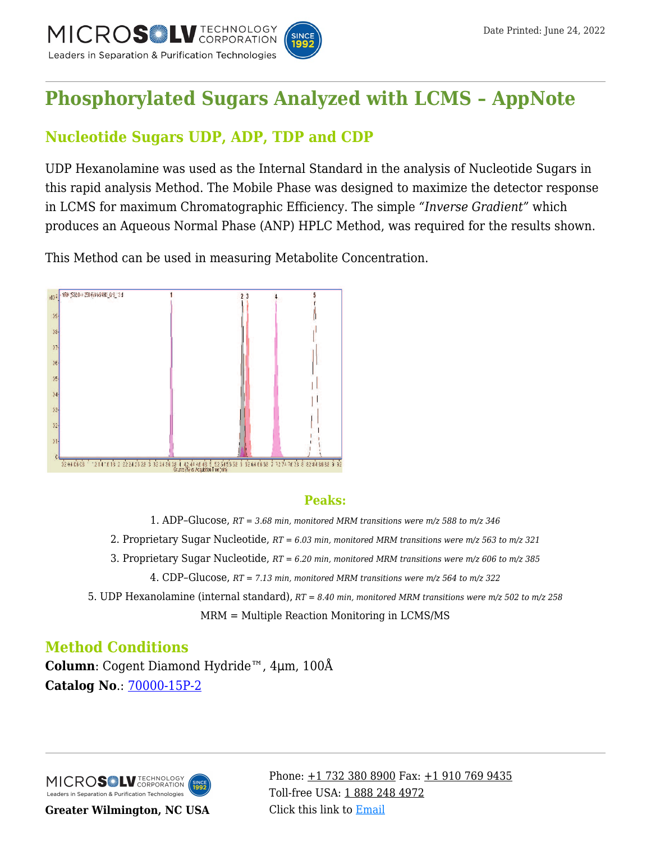

# **[Phosphorylated Sugars Analyzed with LCMS – AppNote](https://kb.mtc-usa.com/article/aa-00709/46/)**

# **Nucleotide Sugars UDP, ADP, TDP and CDP**

UDP Hexanolamine was used as the Internal Standard in the analysis of Nucleotide Sugars in this rapid analysis Method. The Mobile Phase was designed to maximize the detector response in LCMS for maximum Chromatographic Efficiency. The simple *"Inverse Gradient"* which produces an Aqueous Normal Phase (ANP) HPLC Method, was required for the results shown.

This Method can be used in measuring Metabolite Concentration.



#### **Peaks:**

- 1. ADP–Glucose, *RT = 3.68 min, monitored MRM transitions were m/z 588 to m/z 346*
- 2. Proprietary Sugar Nucleotide, *RT = 6.03 min, monitored MRM transitions were m/z 563 to m/z 321*
- 3. Proprietary Sugar Nucleotide, *RT = 6.20 min, monitored MRM transitions were m/z 606 to m/z 385*
	- 4. CDP–Glucose, *RT = 7.13 min, monitored MRM transitions were m/z 564 to m/z 322*

5. UDP Hexanolamine (internal standard), *RT = 8.40 min, monitored MRM transitions were m/z 502 to m/z 258*

MRM = Multiple Reaction Monitoring in LCMS/MS

## **Method Conditions**

**Column**: Cogent Diamond Hydride™, 4μm, 100Å **Catalog No**.: [70000-15P-2](https://www.mtc-usa.com/product-details/id/4115801)

MICROS LU TECHNOLOGY Leaders in Separation & Purification Technologies

**Greater Wilmington, NC USA**

Phone:  $\pm$ 1 732 380 8900 Fax:  $\pm$ 1 910 769 9435 Toll-free USA: [1 888 248 4972](#page--1-0) Click this link to [Email](https://www.mtc-usa.com/contact)